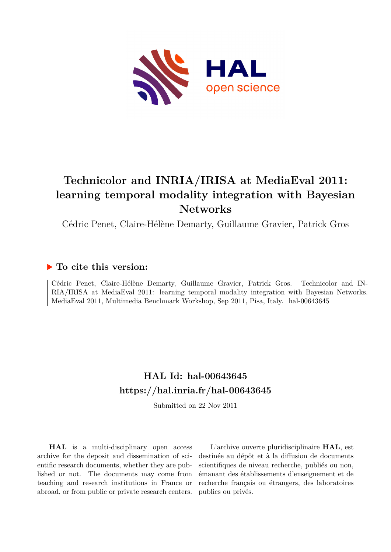

# **Technicolor and INRIA/IRISA at MediaEval 2011: learning temporal modality integration with Bayesian Networks**

Cédric Penet, Claire-Hélène Demarty, Guillaume Gravier, Patrick Gros

### **To cite this version:**

Cédric Penet, Claire-Hélène Demarty, Guillaume Gravier, Patrick Gros. Technicolor and IN-RIA/IRISA at MediaEval 2011: learning temporal modality integration with Bayesian Networks. MediaEval 2011, Multimedia Benchmark Workshop, Sep 2011, Pisa, Italy. hal-00643645

# **HAL Id: hal-00643645 <https://hal.inria.fr/hal-00643645>**

Submitted on 22 Nov 2011

**HAL** is a multi-disciplinary open access archive for the deposit and dissemination of scientific research documents, whether they are published or not. The documents may come from teaching and research institutions in France or abroad, or from public or private research centers.

L'archive ouverte pluridisciplinaire **HAL**, est destinée au dépôt et à la diffusion de documents scientifiques de niveau recherche, publiés ou non, émanant des établissements d'enseignement et de recherche français ou étrangers, des laboratoires publics ou privés.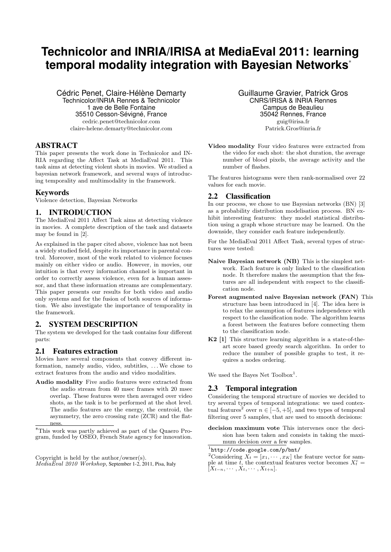# **Technicolor and INRIA/IRISA at MediaEval 2011: learning temporal modality integration with Bayesian Networks**<sup>∗</sup>

Cédric Penet, Claire-Hélène Demarty Technicolor/INRIA Rennes & Technicolor 1 ave de Belle Fontaine 35510 Cesson-Sévigné, France cedric.penet@technicolor.com claire-helene.demarty@technicolor.com

### ABSTRACT

This paper presents the work done in Technicolor and IN-RIA regarding the Affect Task at MediaEval 2011. This task aims at detecting violent shots in movies. We studied a bayesian network framework, and several ways of introducing temporality and multimodality in the framework.

#### Keywords

Violence detection, Bayesian Networks

### 1. INTRODUCTION

The MediaEval 2011 Affect Task aims at detecting violence in movies. A complete description of the task and datasets may be found in [2].

As explained in the paper cited above, violence has not been a widely studied field, despite its importance in parental control. Moreover, most of the work related to violence focuses mainly on either video or audio. However, in movies, our intuition is that every information channel is important in order to correctly assess violence, even for a human assessor, and that these information streams are complementary. This paper presents our results for both video and audio only systems and for the fusion of both sources of information. We also investigate the importance of temporality in the framework.

#### 2. SYSTEM DESCRIPTION

The system we developed for the task contains four different parts:

#### 2.1 Features extraction

Movies have several components that convey different information, namely audio, video, subtitles, . . .We chose to extract features from the audio and video modalities.

Audio modality Five audio features were extracted from the audio stream from 40 msec frames with 20 msec overlap. These features were then averaged over video shots, as the task is to be performed at the shot level. The audio features are the energy, the centroid, the asymmetry, the zero crossing rate (ZCR) and the flatness.

Guillaume Gravier, Patrick Gros CNRS/IRISA & INRIA Rennes Campus de Beaulieu 35042 Rennes, France guig@irisa.fr Patrick.Gros@inria.fr

Video modality Four video features were extracted from the video for each shot: the shot duration, the average number of blood pixels, the average activity and the number of flashes.

The features histograms were then rank-normalised over 22 values for each movie.

#### 2.2 Classification

In our process, we chose to use Bayesian networks (BN) [3] as a probability distribution modelisation process. BN exhibit interesting features: they model statistical distribution using a graph whose structure may be learned. On the downside, they consider each feature independently.

For the MediaEval 2011 Affect Task, several types of structures were tested:

- Naive Bayesian network (NB) This is the simplest network. Each feature is only linked to the classification node. It therefore makes the assumption that the features are all independent with respect to the classification node.
- Forest augmented naive Bayesian network (FAN) This structure has been introduced in [4]. The idea here is to relax the assumption of features independence with respect to the classification node. The algorithm learns a forest between the features before connecting them to the classification node.
- K2 [1] This structure learning algorithm is a state-of-theart score based greedy search algorithm. In order to reduce the number of possible graphs to test, it requires a nodes ordering.

We used the Bayes Net  $Toolbox<sup>1</sup>$ .

#### 2.3 Temporal integration

Considering the temporal structure of movies we decided to try several types of temporal integrations: we used contextual features<sup>2</sup> over  $n \in \{-5, +5\}$ , and two types of temporal filtering over 5 samples, that are used to smooth decisions:

decision maximum vote This intervenes once the decision has been taken and consists in taking the maximum decision over a few samples.

<sup>∗</sup>This work was partly achieved as part of the Quaero Program, funded by OSEO, French State agency for innovation.

Copyright is held by the author/owner(s).  $M$ edia $E$ val 2010 Workshop, September 1-2, 2011, Pisa, Italy

<sup>1</sup> http://code.google.com/p/bnt/

<sup>&</sup>lt;sup>2</sup>Considering  $\overline{X}_t = [x_1, \cdots, x_K]$  the feature vector for sample at time  $\vec{t}$ , the contextual features vector becomes  $X_t^c$  =  $[X_{t-n},\cdots,X_t,\cdots,X_{t+n}].$